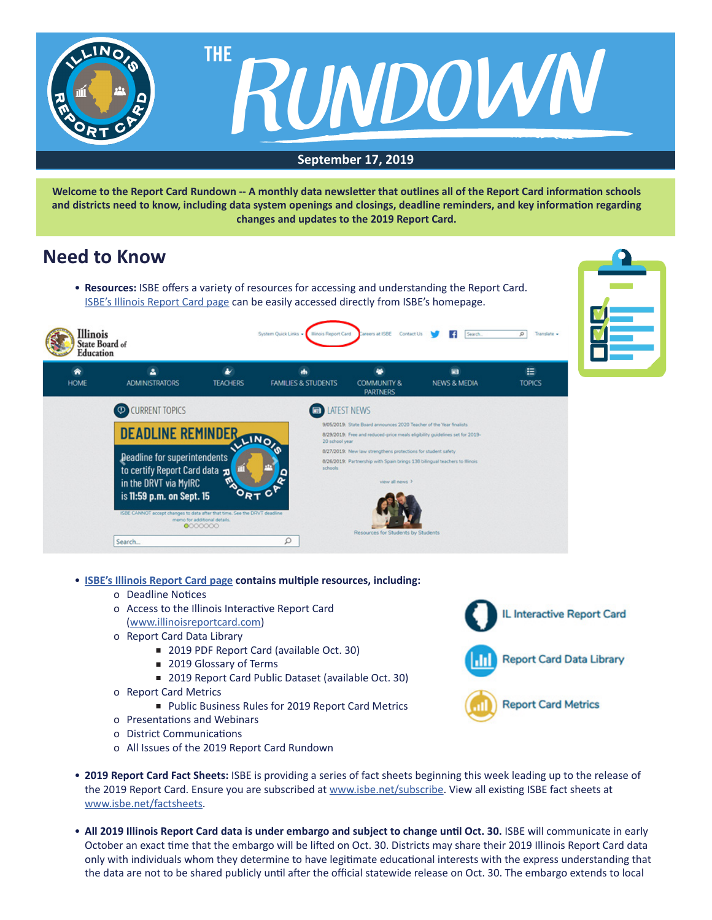

**Welcome to the Report Card Rundown -- A monthly data newsletter that outlines all of the Report Card information schools and districts need to know, including data system openings and closings, deadline reminders, and key information regarding changes and updates to the 2019 Report Card.**

## **Need to Know**

• **Resources:** ISBE offers a variety of resources for accessing and understanding the Report Card. [ISBE's Illinois Report Card page](https://www.isbe.net/ilreportcard) can be easily accessed directly from ISBE's homepage.





- **[ISBE's Illinois Report Card page](https://www.isbe.net/ilreportcard) contains multiple resources, including:**
	- o Deadline Notices
	- o Access to the Illinois Interactive Report Card ([www.illinoisreportcard.com](http://www.illinoisreportcard.com))
	- o Report Card Data Library
		- 2019 PDF Report Card (available Oct. 30)
		- 2019 Glossary of Terms
		- 2019 Report Card Public Dataset (available Oct. 30)
	- o Report Card Metrics
		- Public Business Rules for 2019 Report Card Metrics
	- o Presentations and Webinars
	- o District Communications
	- o All Issues of the 2019 Report Card Rundown



- **2019 Report Card Fact Sheets:** ISBE is providing a series of fact sheets beginning this week leading up to the release of the 2019 Report Card. Ensure you are subscribed at [www.isbe.net/subscribe.](http://www.isbe.net/subscribe) View all existing ISBE fact sheets at [www.isbe.net/factsheets](http://www.isbe.net/factsheets).
- All 2019 Illinois Report Card data is under embargo and subject to change until Oct. 30. ISBE will communicate in early October an exact time that the embargo will be lifted on Oct. 30. Districts may share their 2019 Illinois Report Card data only with individuals whom they determine to have legitimate educational interests with the express understanding that the data are not to be shared publicly until after the official statewide release on Oct. 30. The embargo extends to local